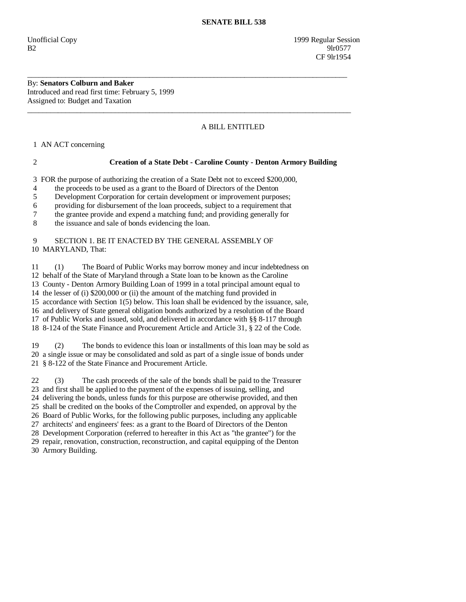Unofficial Copy 1999 Regular Session B2 9lr0577 **CF** 9lr1954

By: **Senators Colburn and Baker**  Introduced and read first time: February 5, 1999 Assigned to: Budget and Taxation

## A BILL ENTITLED

1 AN ACT concerning

## 2 **Creation of a State Debt - Caroline County - Denton Armory Building**

3 FOR the purpose of authorizing the creation of a State Debt not to exceed \$200,000,

\_\_\_\_\_\_\_\_\_\_\_\_\_\_\_\_\_\_\_\_\_\_\_\_\_\_\_\_\_\_\_\_\_\_\_\_\_\_\_\_\_\_\_\_\_\_\_\_\_\_\_\_\_\_\_\_\_\_\_\_\_\_\_\_\_\_\_\_\_\_\_\_\_\_\_\_\_\_\_\_\_\_\_\_

\_\_\_\_\_\_\_\_\_\_\_\_\_\_\_\_\_\_\_\_\_\_\_\_\_\_\_\_\_\_\_\_\_\_\_\_\_\_\_\_\_\_\_\_\_\_\_\_\_\_\_\_\_\_\_\_\_\_\_\_\_\_\_\_\_\_\_\_\_\_\_\_\_\_\_\_\_\_\_\_\_\_\_\_\_

4 the proceeds to be used as a grant to the Board of Directors of the Denton

5 Development Corporation for certain development or improvement purposes;

6 providing for disbursement of the loan proceeds, subject to a requirement that

7 the grantee provide and expend a matching fund; and providing generally for

8 the issuance and sale of bonds evidencing the loan.

## 9 SECTION 1. BE IT ENACTED BY THE GENERAL ASSEMBLY OF 10 MARYLAND, That:

 11 (1) The Board of Public Works may borrow money and incur indebtedness on 12 behalf of the State of Maryland through a State loan to be known as the Caroline 13 County - Denton Armory Building Loan of 1999 in a total principal amount equal to 14 the lesser of (i) \$200,000 or (ii) the amount of the matching fund provided in 15 accordance with Section 1(5) below. This loan shall be evidenced by the issuance, sale, 16 and delivery of State general obligation bonds authorized by a resolution of the Board 17 of Public Works and issued, sold, and delivered in accordance with §§ 8-117 through 18 8-124 of the State Finance and Procurement Article and Article 31, § 22 of the Code.

 19 (2) The bonds to evidence this loan or installments of this loan may be sold as 20 a single issue or may be consolidated and sold as part of a single issue of bonds under 21 § 8-122 of the State Finance and Procurement Article.

 22 (3) The cash proceeds of the sale of the bonds shall be paid to the Treasurer 23 and first shall be applied to the payment of the expenses of issuing, selling, and 24 delivering the bonds, unless funds for this purpose are otherwise provided, and then 25 shall be credited on the books of the Comptroller and expended, on approval by the 26 Board of Public Works, for the following public purposes, including any applicable 27 architects' and engineers' fees: as a grant to the Board of Directors of the Denton 28 Development Corporation (referred to hereafter in this Act as "the grantee") for the 29 repair, renovation, construction, reconstruction, and capital equipping of the Denton 30 Armory Building.